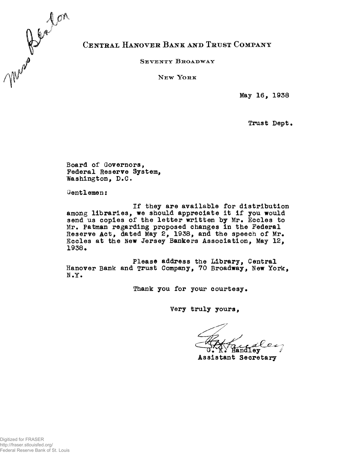

## CENTRAL HANOVER BANK AND TRUST COMPANY

SEVENTY BROADWAY

 $N$ **EW** YORK

**May 16, 1938**

**Trust Dept.** 

**Board of Governors, Federal Reserve System, Washington, D.G.**

**Gentlemen:**

**If they are available for distribution among libraries, we should appreciate it if you would send us copies of the letter written by Mr. Eccles to Mr. Patman regarding proposed changes in the Federal Reserve Act, dated May 2, 1938, and the speech of Mr. Eccles at the New Jersey Bankers Association, May 12, 1938.**

**Please address the Library, Central Hanover Bank and Trust Company, 70 Broadway, New York, N.Y.**

Thank you for your courtesy.

**Very truly yours,**

**Assistant Secretary**